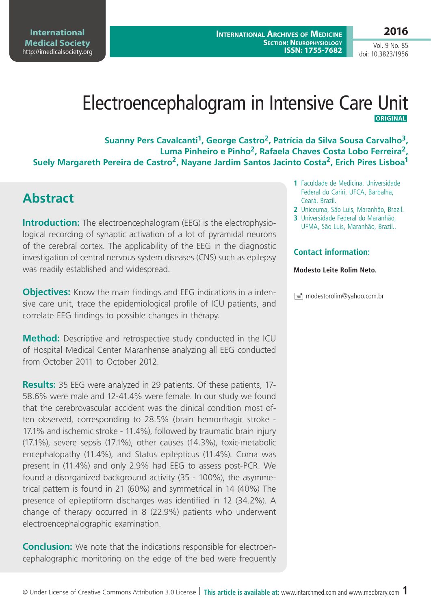**International Medical Society**  <http://imedicalsociety.org> **2016**

Vol. 9 No. 85 doi: 10.3823/1956

# Electroencephalogram in Intensive Care Unit  **Original**

Suanny Pers Cavalcanti<sup>1</sup>, George Castro<sup>2</sup>, Patrícia da Silva Sousa Carvalho<sup>3</sup>, **Luma Pinheiro e Pinho2, Rafaela Chaves Costa Lobo Ferreira2,**  Suely Margareth Pereira de Castro<sup>2</sup>, Nayane Jardim Santos Jacinto Costa<sup>2</sup>, Erich Pires Lisboa<sup>1</sup>

## **Abstract**

**Introduction:** The electroencephalogram (EEG) is the electrophysiological recording of synaptic activation of a lot of pyramidal neurons of the cerebral cortex. The applicability of the EEG in the diagnostic investigation of central nervous system diseases (CNS) such as epilepsy was readily established and widespread.

**Objectives:** Know the main findings and EEG indications in a intensive care unit, trace the epidemiological profile of ICU patients, and correlate EEG findings to possible changes in therapy.

**Method:** Descriptive and retrospective study conducted in the ICU of Hospital Medical Center Maranhense analyzing all EEG conducted from October 2011 to October 2012.

**Results:** 35 EEG were analyzed in 29 patients. Of these patients, 17- 58.6% were male and 12-41.4% were female. In our study we found that the cerebrovascular accident was the clinical condition most often observed, corresponding to 28.5% (brain hemorrhagic stroke - 17.1% and ischemic stroke - 11.4%), followed by traumatic brain injury (17.1%), severe sepsis (17.1%), other causes (14.3%), toxic-metabolic encephalopathy (11.4%), and Status epilepticus (11.4%). Coma was present in (11.4%) and only 2.9% had EEG to assess post-PCR. We found a disorganized background activity (35 - 100%), the asymmetrical pattern is found in 21 (60%) and symmetrical in 14 (40%) The presence of epileptiform discharges was identified in 12 (34.2%). A change of therapy occurred in 8 (22.9%) patients who underwent electroencephalographic examination.

**Conclusion:** We note that the indications responsible for electroencephalographic monitoring on the edge of the bed were frequently

- **1** Faculdade de Medicina, Universidade Federal do Cariri, UFCA, Barbalha, Ceará, Brazil.
- **2** Uniceuma, São Luis, Maranhão, Brazil.
- **3** Universidade Federal do Maranhão, UFMA, São Luis, Maranhão, Brazil..

#### **Contact information:**

#### **Modesto Leite Rolim Neto.**

modestorolim@yahoo.com.br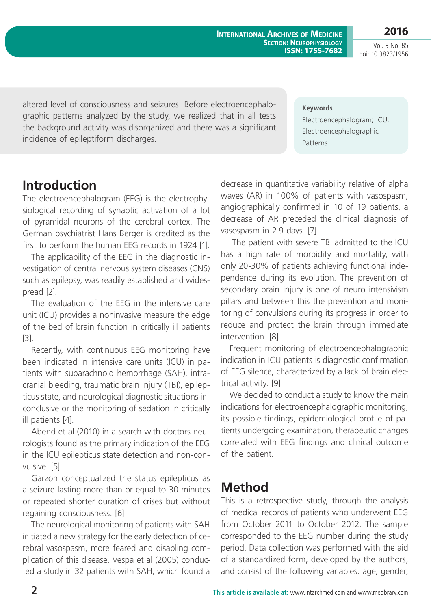**International Archives of Medicine Section: Neurophysiology ISSN: 1755-7682**

**2016** Vol. 9 No. 85 doi: 10.3823/1956

altered level of consciousness and seizures. Before electroencephalographic patterns analyzed by the study, we realized that in all tests the background activity was disorganized and there was a significant incidence of epileptiform discharges.

**Keywords** Electroencephalogram; ICU; Electroencephalographic Patterns.

## **Introduction**

The electroencephalogram (EEG) is the electrophysiological recording of synaptic activation of a lot of pyramidal neurons of the cerebral cortex. The German psychiatrist Hans Berger is credited as the first to perform the human EEG records in 1924 [1].

The applicability of the EEG in the diagnostic investigation of central nervous system diseases (CNS) such as epilepsy, was readily established and widespread [2].

The evaluation of the EEG in the intensive care unit (ICU) provides a noninvasive measure the edge of the bed of brain function in critically ill patients [3].

Recently, with continuous EEG monitoring have been indicated in intensive care units (ICU) in patients with subarachnoid hemorrhage (SAH), intracranial bleeding, traumatic brain injury (TBI), epilepticus state, and neurological diagnostic situations inconclusive or the monitoring of sedation in critically ill patients [4].

Abend et al (2010) in a search with doctors neurologists found as the primary indication of the EEG in the ICU epilepticus state detection and non-convulsive. [5]

Garzon conceptualized the status epilepticus as a seizure lasting more than or equal to 30 minutes or repeated shorter duration of crises but without regaining consciousness. [6]

The neurological monitoring of patients with SAH initiated a new strategy for the early detection of cerebral vasospasm, more feared and disabling complication of this disease. Vespa et al (2005) conducted a study in 32 patients with SAH, which found a decrease in quantitative variability relative of alpha waves (AR) in 100% of patients with vasospasm, angiographically confirmed in 10 of 19 patients, a decrease of AR preceded the clinical diagnosis of vasospasm in 2.9 days. [7]

 The patient with severe TBI admitted to the ICU has a high rate of morbidity and mortality, with only 20-30% of patients achieving functional independence during its evolution. The prevention of secondary brain injury is one of neuro intensivism pillars and between this the prevention and monitoring of convulsions during its progress in order to reduce and protect the brain through immediate intervention. [8]

Frequent monitoring of electroencephalographic indication in ICU patients is diagnostic confirmation of EEG silence, characterized by a lack of brain electrical activity. [9]

We decided to conduct a study to know the main indications for electroencephalographic monitoring, its possible findings, epidemiological profile of patients undergoing examination, therapeutic changes correlated with EEG findings and clinical outcome of the patient.

## **Method**

This is a retrospective study, through the analysis of medical records of patients who underwent EEG from October 2011 to October 2012. The sample corresponded to the EEG number during the study period. Data collection was performed with the aid of a standardized form, developed by the authors, and consist of the following variables: age, gender,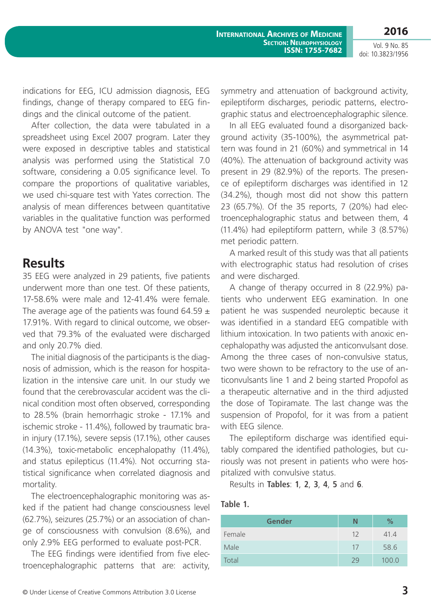Vol. 9 No. 85 doi: 10.3823/1956

indications for EEG, ICU admission diagnosis, EEG findings, change of therapy compared to EEG findings and the clinical outcome of the patient.

After collection, the data were tabulated in a spreadsheet using Excel 2007 program. Later they were exposed in descriptive tables and statistical analysis was performed using the Statistical 7.0 software, considering a 0.05 significance level. To compare the proportions of qualitative variables, we used chi-square test with Yates correction. The analysis of mean differences between quantitative variables in the qualitative function was performed by ANOVA test "one way".

## **Results**

35 EEG were analyzed in 29 patients, five patients underwent more than one test. Of these patients, 17-58.6% were male and 12-41.4% were female. The average age of the patients was found 64.59  $\pm$ 17.91%. With regard to clinical outcome, we observed that 79.3% of the evaluated were discharged and only 20.7% died.

The initial diagnosis of the participants is the diagnosis of admission, which is the reason for hospitalization in the intensive care unit. In our study we found that the cerebrovascular accident was the clinical condition most often observed, corresponding to 28.5% (brain hemorrhagic stroke - 17.1% and ischemic stroke - 11.4%), followed by traumatic brain injury (17.1%), severe sepsis (17.1%), other causes (14.3%), toxic-metabolic encephalopathy (11.4%), and status epilepticus (11.4%). Not occurring statistical significance when correlated diagnosis and mortality.

The electroencephalographic monitoring was asked if the patient had change consciousness level (62.7%), seizures (25.7%) or an association of change of consciousness with convulsion (8.6%), and only 2.9% EEG performed to evaluate post-PCR.

The EEG findings were identified from five electroencephalographic patterns that are: activity, symmetry and attenuation of background activity, epileptiform discharges, periodic patterns, electrographic status and electroencephalographic silence.

In all EEG evaluated found a disorganized background activity (35-100%), the asymmetrical pattern was found in 21 (60%) and symmetrical in 14 (40%). The attenuation of background activity was present in 29 (82.9%) of the reports. The presence of epileptiform discharges was identified in 12 (34.2%), though most did not show this pattern 23 (65.7%). Of the 35 reports, 7 (20%) had electroencephalographic status and between them, 4 (11.4%) had epileptiform pattern, while 3 (8.57%) met periodic pattern.

A marked result of this study was that all patients with electrographic status had resolution of crises and were discharged.

A change of therapy occurred in 8 (22.9%) patients who underwent EEG examination. In one patient he was suspended neuroleptic because it was identified in a standard EEG compatible with lithium intoxication. In two patients with anoxic encephalopathy was adjusted the anticonvulsant dose. Among the three cases of non-convulsive status, two were shown to be refractory to the use of anticonvulsants line 1 and 2 being started Propofol as a therapeutic alternative and in the third adjusted the dose of Topiramate. The last change was the suspension of Propofol, for it was from a patient with EEG silence.

The epileptiform discharge was identified equitably compared the identified pathologies, but curiously was not present in patients who were hospitalized with convulsive status.

Results in **Tables**: **1**, **2**, **3**, **4**, **5** and **6**.

#### **Table 1.**

| <b>Gender</b> | N  | $\%$  |
|---------------|----|-------|
| Female        | 12 | 41.4  |
| Male          | 17 | 58.6  |
| Total         | 29 | 100.0 |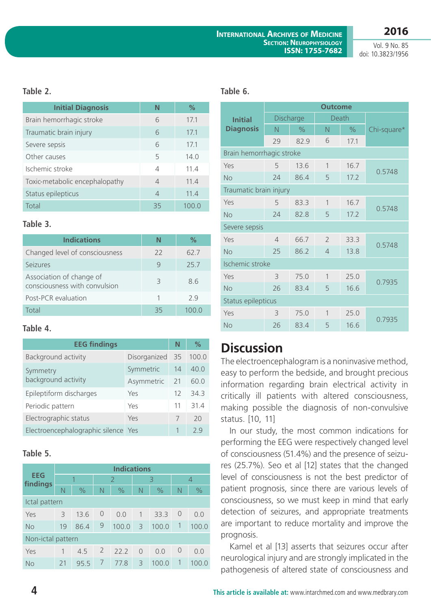Vol. 9 No. 85 doi: 10.3823/1956

**2016**

## **Table 2.**

| <b>Initial Diagnosis</b>       | Ν        | $\%$  |  |  |
|--------------------------------|----------|-------|--|--|
| Brain hemorrhagic stroke       | 6        | 17.1  |  |  |
| Traumatic brain injury         | 6        | 17.1  |  |  |
| Severe sepsis                  | 6        | 17.1  |  |  |
| Other causes                   | 5        | 14.0  |  |  |
| Ischemic stroke                | 4        | 11.4  |  |  |
| Toxic-metabolic encephalopathy | $\Delta$ | 11.4  |  |  |
| Status epilepticus             | 4        | 11.4  |  |  |
| Total                          | 35       | 100.0 |  |  |

### **Table 3.**

| <b>Indications</b>                                        | N    | ℅     |
|-----------------------------------------------------------|------|-------|
| Changed level of consciousness                            | $22$ | 62.7  |
| Seizures                                                  | 9    | 25.7  |
| Association of change of<br>consciousness with convulsion | 3    | 8.6   |
| Post-PCR evaluation                                       |      | 79    |
| Total                                                     | 35   | 100.0 |

| <b>EEG findings</b>                 | N            | $\%$ |       |
|-------------------------------------|--------------|------|-------|
| Background activity                 | Disorganized | 35   | 100.0 |
| Symmetry                            | Symmetric    | 14   | 40.0  |
| background activity                 | Asymmetric   | 21   | 60.0  |
| Epileptiform discharges             | Yes          | 12   | 34.3  |
| Periodic pattern                    | Yes          | 11   | 31.4  |
| Electrographic status               | Yes          | 7    | 20    |
| Electroencephalographic silence Yes |              |      | 79    |

## **Table 5.**

|                        | <b>Indications</b> |               |                |               |              |               |                |               |  |
|------------------------|--------------------|---------------|----------------|---------------|--------------|---------------|----------------|---------------|--|
| <b>EEG</b><br>findings | 1                  |               | $\overline{2}$ |               | 3            |               | 4              |               |  |
|                        | N                  | $\frac{0}{0}$ | N              | $\frac{0}{0}$ | $\mathsf{N}$ | $\frac{0}{0}$ | $\mathbb N$    | $\frac{0}{0}$ |  |
| Ictal pattern          |                    |               |                |               |              |               |                |               |  |
| Yes                    | 3                  | 13.6          | $\overline{0}$ | 0.0           | $\mathbf{1}$ | 33.3          | 0              | 0.0           |  |
| <b>No</b>              | 19                 | 86.4          | 9              | 100.0         | 3            | 100.0         | $\mathbf 1$    | 100.0         |  |
| Non-ictal pattern      |                    |               |                |               |              |               |                |               |  |
| Yes                    | 1                  | 4.5           | $\overline{2}$ | 22.2          | $\Omega$     | 0.0           | $\overline{0}$ | 0.0           |  |
| <b>No</b>              | 21                 | 95.5          | 7              | 77.8          | 3            | 100.0         | $\mathbf 1$    | 100.0         |  |

| N              | $\frac{0}{0}$ |                    | <b>Outcome</b>           |               |                |               |             |  |
|----------------|---------------|--------------------|--------------------------|---------------|----------------|---------------|-------------|--|
| 6              | 17.1          | <b>Initial</b>     |                          |               |                |               |             |  |
| 6              | 17.1          | <b>Diagnosis</b>   | N.                       | $\frac{0}{0}$ | N.             | $\frac{1}{2}$ | Chi-square* |  |
| 6              | 17.1          |                    | 29                       | 82.9          | 6              | 17.1          |             |  |
| 5              | 14.0          |                    | Brain hemorrhagic stroke |               |                |               |             |  |
| $\overline{4}$ | 11.4          | Yes                | 5                        | 13.6          | $\mathbf{1}$   | 16.7          | 0.5748      |  |
| $\overline{4}$ | 11.4          | <b>No</b>          | 24                       | 86.4          | 5              | 17.2          |             |  |
| $\overline{4}$ | 11.4          |                    | Traumatic brain injury   |               |                |               |             |  |
| 35             | 100.0         | Yes                | 5                        | 83.3          | $\mathbf{1}$   | 16.7          | 0.5748      |  |
|                |               | <b>No</b>          | 24                       | 82.8          | 5              | 17.2          |             |  |
| Table 3.       |               |                    | Severe sepsis            |               |                |               |             |  |
| N              | $\frac{0}{0}$ | Yes                | $\overline{4}$           | 66.7          | $\overline{2}$ | 33.3          | 0.5748      |  |
| 22             | 62.7          | <b>No</b>          | 25                       | 86.2          | $\overline{4}$ | 13.8          |             |  |
| 9              | 25.7          | Ischemic stroke    |                          |               |                |               |             |  |
|                |               | Yes                | 3                        | 75.0          | $\mathbf{1}$   | 25.0          | 0.7935      |  |
|                |               | <b>No</b>          | 26                       | 83.4          | 5              | 16.6          |             |  |
| 1              | 2.9           | Status epilepticus |                          |               |                |               |             |  |
| 35             | 100.0         | Yes                | 3                        | 75.0          | $\mathbf{1}$   | 25.0          |             |  |
|                |               | No                 | 26                       | 83.4          | 5              | 16.6          | 0.7935      |  |
|                | 3             | 8.6                |                          |               | Discharge      |               | Death       |  |

# **Discussion**

The electroencephalogram is a noninvasive method, easy to perform the bedside, and brought precious information regarding brain electrical activity in critically ill patients with altered consciousness, making possible the diagnosis of non-convulsive status. [10, 11]

In our study, the most common indications for performing the EEG were respectively changed level of consciousness (51.4%) and the presence of seizures (25.7%). Seo et al [12] states that the changed level of consciousness is not the best predictor of patient prognosis, since there are various levels of consciousness, so we must keep in mind that early detection of seizures, and appropriate treatments are important to reduce mortality and improve the prognosis.

Kamel et al [13] asserts that seizures occur after neurological injury and are strongly implicated in the pathogenesis of altered state of consciousness and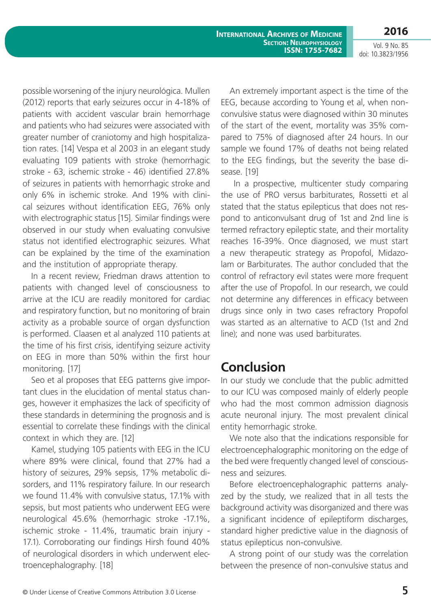**International Archives of Medicine Section: Neurophysiology ISSN: 1755-7682** **2016**

Vol. 9 No. 85 doi: 10.3823/1956

possible worsening of the injury neurológica. Mullen (2012) reports that early seizures occur in 4-18% of patients with accident vascular brain hemorrhage and patients who had seizures were associated with greater number of craniotomy and high hospitalization rates. [14] Vespa et al 2003 in an elegant study evaluating 109 patients with stroke (hemorrhagic stroke - 63, ischemic stroke - 46) identified 27.8% of seizures in patients with hemorrhagic stroke and only 6% in ischemic stroke. And 19% with clinical seizures without identification EEG, 76% only with electrographic status [15]. Similar findings were observed in our study when evaluating convulsive status not identified electrographic seizures. What can be explained by the time of the examination and the institution of appropriate therapy.

In a recent review, Friedman draws attention to patients with changed level of consciousness to arrive at the ICU are readily monitored for cardiac and respiratory function, but no monitoring of brain activity as a probable source of organ dysfunction is performed. Claasen et al analyzed 110 patients at the time of his first crisis, identifying seizure activity on EEG in more than 50% within the first hour monitoring. [17]

Seo et al proposes that EEG patterns give important clues in the elucidation of mental status changes, however it emphasizes the lack of specificity of these standards in determining the prognosis and is essential to correlate these findings with the clinical context in which they are. [12]

Kamel, studying 105 patients with EEG in the ICU where 89% were clinical, found that 27% had a history of seizures, 29% sepsis, 17% metabolic disorders, and 11% respiratory failure. In our research we found 11.4% with convulsive status, 17.1% with sepsis, but most patients who underwent EEG were neurological 45.6% (hemorrhagic stroke -17.1%, ischemic stroke - 11.4%, traumatic brain injury - 17.1). Corroborating our findings Hirsh found 40% of neurological disorders in which underwent electroencephalography. [18]

An extremely important aspect is the time of the EEG, because according to Young et al, when nonconvulsive status were diagnosed within 30 minutes of the start of the event, mortality was 35% compared to 75% of diagnosed after 24 hours. In our sample we found 17% of deaths not being related to the EEG findings, but the severity the base disease. [19]

 In a prospective, multicenter study comparing the use of PRO versus barbiturates, Rossetti et al stated that the status epilepticus that does not respond to anticonvulsant drug of 1st and 2nd line is termed refractory epileptic state, and their mortality reaches 16-39%. Once diagnosed, we must start a new therapeutic strategy as Propofol, Midazolam or Barbiturates. The author concluded that the control of refractory evil states were more frequent after the use of Propofol. In our research, we could not determine any differences in efficacy between drugs since only in two cases refractory Propofol was started as an alternative to ACD (1st and 2nd line); and none was used barbiturates.

## **Conclusion**

In our study we conclude that the public admitted to our ICU was composed mainly of elderly people who had the most common admission diagnosis acute neuronal injury. The most prevalent clinical entity hemorrhagic stroke.

We note also that the indications responsible for electroencephalographic monitoring on the edge of the bed were frequently changed level of consciousness and seizures.

Before electroencephalographic patterns analyzed by the study, we realized that in all tests the background activity was disorganized and there was a significant incidence of epileptiform discharges, standard higher predictive value in the diagnosis of status epilepticus non-convulsive.

A strong point of our study was the correlation between the presence of non-convulsive status and